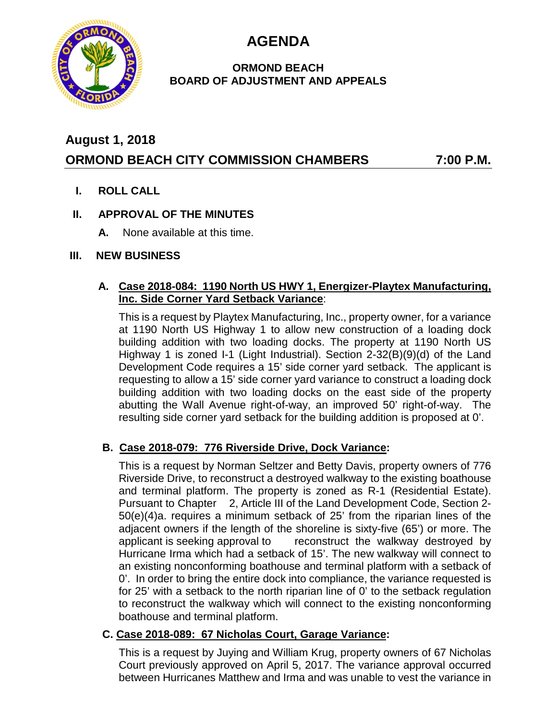**AGENDA**



## **ORMOND BEACH BOARD OF ADJUSTMENT AND APPEALS**

# **August 1, 2018 ORMOND BEACH CITY COMMISSION CHAMBERS 7:00 P.M.**

**I. ROLL CALL**

## **II. APPROVAL OF THE MINUTES**

**A.** None available at this time.

## **III. NEW BUSINESS**

### **A. Case 2018-084: 1190 North US HWY 1, Energizer-Playtex Manufacturing, Inc. Side Corner Yard Setback Variance**:

This is a request by Playtex Manufacturing, Inc., property owner, for a variance at 1190 North US Highway 1 to allow new construction of a loading dock building addition with two loading docks. The property at 1190 North US Highway 1 is zoned I-1 (Light Industrial). Section 2-32(B)(9)(d) of the Land Development Code requires a 15' side corner yard setback. The applicant is requesting to allow a 15' side corner yard variance to construct a loading dock building addition with two loading docks on the east side of the property abutting the Wall Avenue right-of-way, an improved 50' right-of-way. The resulting side corner yard setback for the building addition is proposed at 0'.

## **B. Case 2018-079: 776 Riverside Drive, Dock Variance:**

This is a request by Norman Seltzer and Betty Davis, property owners of 776 Riverside Drive, to reconstruct a destroyed walkway to the existing boathouse and terminal platform. The property is zoned as R-1 (Residential Estate). Pursuant to Chapter 2, Article III of the Land Development Code, Section 2- 50(e)(4)a. requires a minimum setback of 25' from the riparian lines of the adjacent owners if the length of the shoreline is sixty-five (65') or more. The applicant is seeking approval to reconstruct the walkway destroyed by Hurricane Irma which had a setback of 15'. The new walkway will connect to an existing nonconforming boathouse and terminal platform with a setback of 0'. In order to bring the entire dock into compliance, the variance requested is for 25' with a setback to the north riparian line of 0' to the setback regulation to reconstruct the walkway which will connect to the existing nonconforming boathouse and terminal platform.

## **C. Case 2018-089: 67 Nicholas Court, Garage Variance:**

This is a request by Juying and William Krug, property owners of 67 Nicholas Court previously approved on April 5, 2017. The variance approval occurred between Hurricanes Matthew and Irma and was unable to vest the variance in